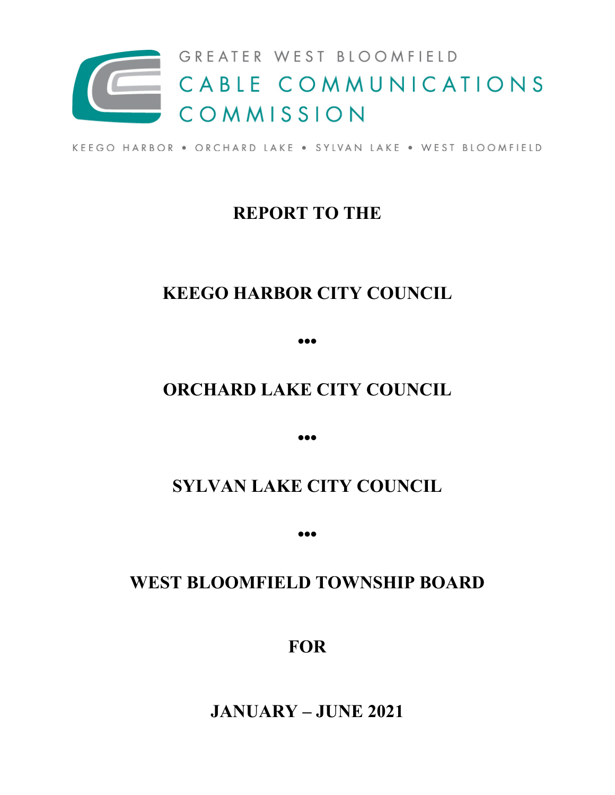

KEEGO HARBOR . ORCHARD LAKE . SYLVAN LAKE . WEST BLOOMFIELD

## **REPORT TO THE**

# **KEEGO HARBOR CITY COUNCIL**

**•••**

## **ORCHARD LAKE CITY COUNCIL**

**•••**

## **SYLVAN LAKE CITY COUNCIL**

**•••**

## **WEST BLOOMFIELD TOWNSHIP BOARD**

**FOR**

**JANUARY – JUNE 2021**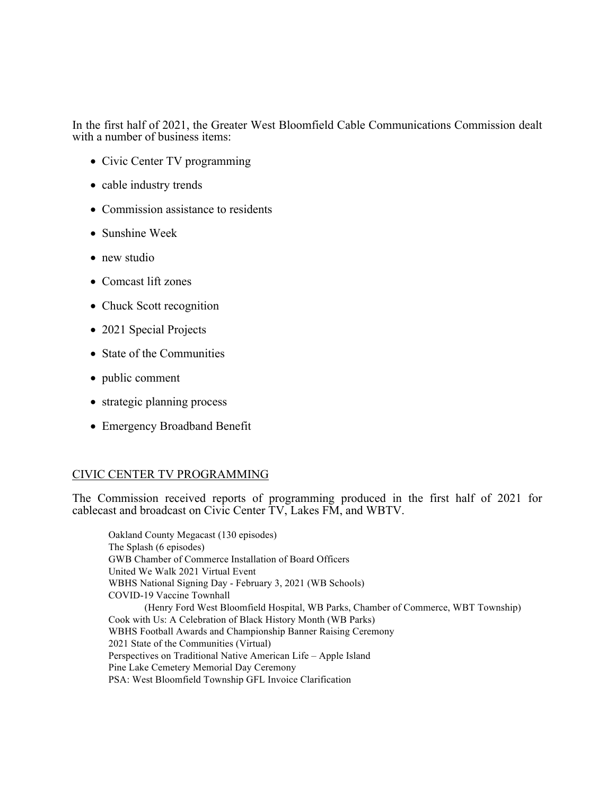In the first half of 2021, the Greater West Bloomfield Cable Communications Commission dealt with a number of business items:

- Civic Center TV programming
- cable industry trends
- Commission assistance to residents
- Sunshine Week
- new studio
- Comcast lift zones
- Chuck Scott recognition
- 2021 Special Projects
- State of the Communities
- public comment
- strategic planning process
- Emergency Broadband Benefit

## CIVIC CENTER TV PROGRAMMING

The Commission received reports of programming produced in the first half of 2021 for cablecast and broadcast on Civic Center TV, Lakes FM, and WBTV.

Oakland County Megacast (130 episodes) The Splash (6 episodes) GWB Chamber of Commerce Installation of Board Officers United We Walk 2021 Virtual Event WBHS National Signing Day - February 3, 2021 (WB Schools) COVID-19 Vaccine Townhall (Henry Ford West Bloomfield Hospital, WB Parks, Chamber of Commerce, WBT Township) Cook with Us: A Celebration of Black History Month (WB Parks) WBHS Football Awards and Championship Banner Raising Ceremony 2021 State of the Communities (Virtual) Perspectives on Traditional Native American Life – Apple Island Pine Lake Cemetery Memorial Day Ceremony PSA: West Bloomfield Township GFL Invoice Clarification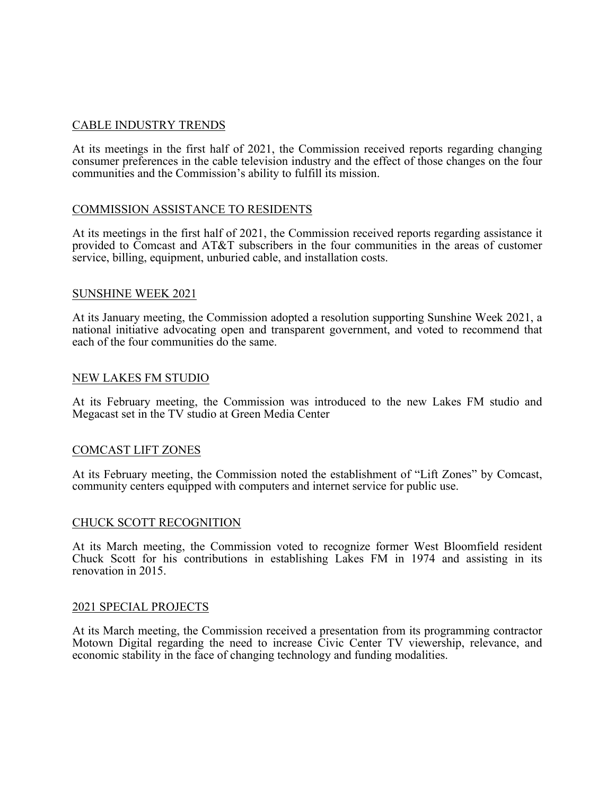## CABLE INDUSTRY TRENDS

At its meetings in the first half of 2021, the Commission received reports regarding changing consumer preferences in the cable television industry and the effect of those changes on the four communities and the Commission's ability to fulfill its mission.

## COMMISSION ASSISTANCE TO RESIDENTS

At its meetings in the first half of 2021, the Commission received reports regarding assistance it provided to Comcast and AT&T subscribers in the four communities in the areas of customer service, billing, equipment, unburied cable, and installation costs.

#### SUNSHINE WEEK 2021

At its January meeting, the Commission adopted a resolution supporting Sunshine Week 2021, a national initiative advocating open and transparent government, and voted to recommend that each of the four communities do the same.

#### NEW LAKES FM STUDIO

At its February meeting, the Commission was introduced to the new Lakes FM studio and Megacast set in the TV studio at Green Media Center

## COMCAST LIFT ZONES

At its February meeting, the Commission noted the establishment of "Lift Zones" by Comcast, community centers equipped with computers and internet service for public use.

#### CHUCK SCOTT RECOGNITION

At its March meeting, the Commission voted to recognize former West Bloomfield resident Chuck Scott for his contributions in establishing Lakes FM in 1974 and assisting in its renovation in 2015.

#### 2021 SPECIAL PROJECTS

At its March meeting, the Commission received a presentation from its programming contractor Motown Digital regarding the need to increase Civic Center TV viewership, relevance, and economic stability in the face of changing technology and funding modalities.